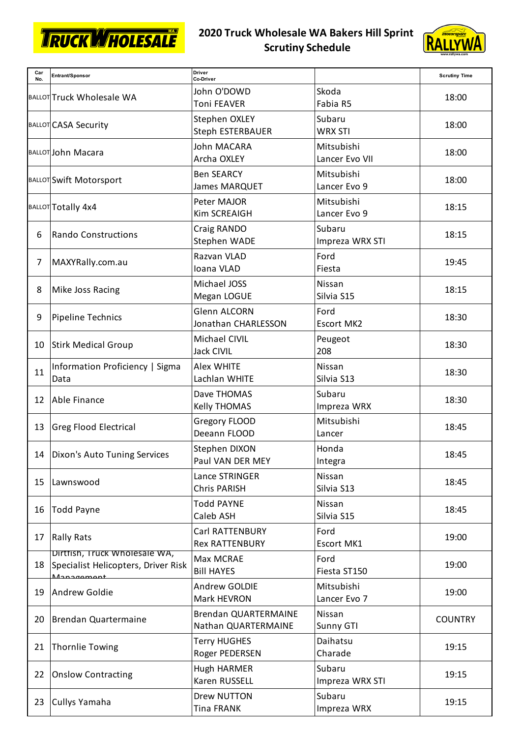

## **2020 Truck Wholesale WA Bakers Hill Sprint Scrutiny Schedule**



| Car<br>No. | Entrant/Sponsor                                                                          | <b>Driver</b><br>Co-Driver                         |                              | <b>Scrutiny Time</b> |
|------------|------------------------------------------------------------------------------------------|----------------------------------------------------|------------------------------|----------------------|
|            | <b>BALLOT Truck Wholesale WA</b>                                                         | John O'DOWD<br>Toni FEAVER                         | Skoda<br>Fabia R5            | 18:00                |
|            | <b>BALLOT CASA Security</b>                                                              | Stephen OXLEY<br>Steph ESTERBAUER                  | Subaru<br><b>WRX STI</b>     | 18:00                |
|            | <b>BALLOT John Macara</b>                                                                | John MACARA<br>Archa OXLEY                         | Mitsubishi<br>Lancer Evo VII | 18:00                |
|            | <b>BALLOT</b> Swift Motorsport                                                           | <b>Ben SEARCY</b><br>James MARQUET                 | Mitsubishi<br>Lancer Evo 9   | 18:00                |
|            | <b>BALLOT</b> Totally 4x4                                                                | Peter MAJOR<br>Kim SCREAIGH                        | Mitsubishi<br>Lancer Evo 9   | 18:15                |
| 6          | <b>Rando Constructions</b>                                                               | Craig RANDO<br>Stephen WADE                        | Subaru<br>Impreza WRX STI    | 18:15                |
| 7          | MAXYRally.com.au                                                                         | Razvan VLAD<br>Ioana VLAD                          | Ford<br>Fiesta               | 19:45                |
| 8          | Mike Joss Racing                                                                         | Michael JOSS<br>Megan LOGUE                        | Nissan<br>Silvia S15         | 18:15                |
| 9          | <b>Pipeline Technics</b>                                                                 | <b>Glenn ALCORN</b><br>Jonathan CHARLESSON         | Ford<br><b>Escort MK2</b>    | 18:30                |
| 10         | Stirk Medical Group                                                                      | Michael CIVIL<br><b>Jack CIVIL</b>                 | Peugeot<br>208               | 18:30                |
| 11         | Information Proficiency   Sigma<br>Data                                                  | <b>Alex WHITE</b><br>Lachlan WHITE                 | Nissan<br>Silvia S13         | 18:30                |
| 12         | Able Finance                                                                             | Dave THOMAS<br>Kelly THOMAS                        | Subaru<br>Impreza WRX        | 18:30                |
| 13         | Greg Flood Electrical                                                                    | Gregory FLOOD<br>Deeann FLOOD                      | Mitsubishi<br>Lancer         | 18:45                |
|            | 14   Dixon's Auto Tuning Services                                                        | Stephen DIXON<br>Paul VAN DER MEY                  | Honda<br>Integra             | 18:45                |
| 15         | Lawnswood                                                                                | Lance STRINGER<br>Chris PARISH                     | Nissan<br>Silvia S13         | 18:45                |
| 16         | <b>Todd Payne</b>                                                                        | <b>Todd PAYNE</b><br>Caleb ASH                     | Nissan<br>Silvia S15         | 18:45                |
| 17         | <b>Rally Rats</b>                                                                        | Carl RATTENBURY<br><b>Rex RATTENBURY</b>           | Ford<br>Escort MK1           | 19:00                |
| 18         | DITTISH, ITUCK WHOIESAIE WA,<br>Specialist Helicopters, Driver Risk<br><i>Management</i> | Max MCRAE<br><b>Bill HAYES</b>                     | Ford<br>Fiesta ST150         | 19:00                |
| 19         | Andrew Goldie                                                                            | Andrew GOLDIE<br>Mark HEVRON                       | Mitsubishi<br>Lancer Evo 7   | 19:00                |
| 20         | Brendan Quartermaine                                                                     | <b>Brendan QUARTERMAINE</b><br>Nathan QUARTERMAINE | Nissan<br>Sunny GTI          | <b>COUNTRY</b>       |
| 21         | <b>Thornlie Towing</b>                                                                   | Terry HUGHES<br>Roger PEDERSEN                     | Daihatsu<br>Charade          | 19:15                |
| 22         | <b>Onslow Contracting</b>                                                                | <b>Hugh HARMER</b><br>Karen RUSSELL                | Subaru<br>Impreza WRX STI    | 19:15                |
| 23         | Cullys Yamaha                                                                            | Drew NUTTON<br>Tina FRANK                          | Subaru<br>Impreza WRX        | 19:15                |